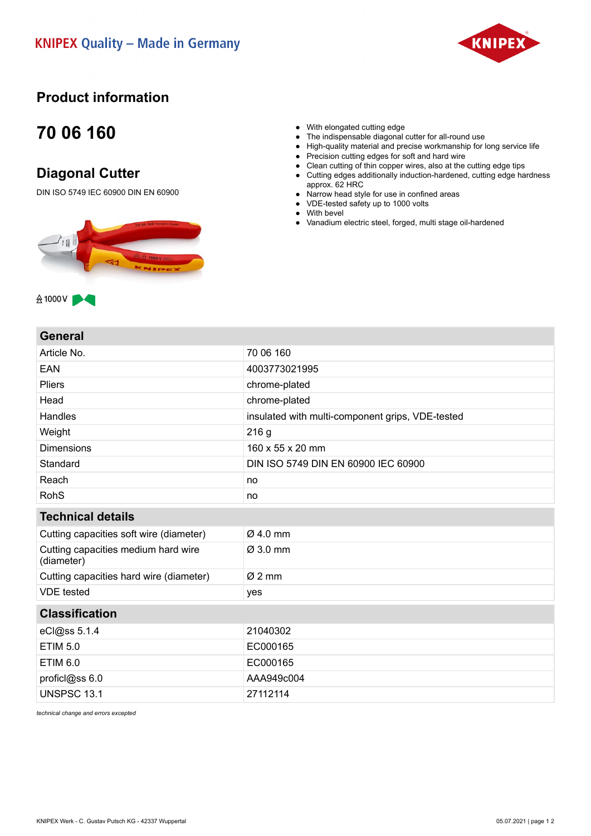

## **Product information**

## **70 06 160**

## **Diagonal Cutter**

DIN ISO 5749 IEC 60900 DIN EN 60900



- With elongated cutting edge
- The indispensable diagonal cutter for all-round use
- High-quality material and precise workmanship for long service life
- Precision cutting edges for soft and hard wire
- Clean cutting of thin copper wires, also at the cutting edge tips
- Cutting edges additionally induction-hardened, cutting edge hardness approx. 62 HRC
- Narrow head style for use in confined areas
- VDE-tested safety up to 1000 volts
- With bevel
- Vanadium electric steel, forged, multi stage oil-hardened

**General**

 $&$  1000 V

| <b>9911914</b>                                    |                                                  |
|---------------------------------------------------|--------------------------------------------------|
| Article No.                                       | 70 06 160                                        |
| EAN                                               | 4003773021995                                    |
| <b>Pliers</b>                                     | chrome-plated                                    |
| Head                                              | chrome-plated                                    |
| Handles                                           | insulated with multi-component grips, VDE-tested |
| Weight                                            | 216 g                                            |
| <b>Dimensions</b>                                 | 160 x 55 x 20 mm                                 |
| Standard                                          | DIN ISO 5749 DIN EN 60900 IEC 60900              |
| Reach                                             | no                                               |
| <b>RohS</b>                                       | no                                               |
| <b>Technical details</b>                          |                                                  |
| Cutting capacities soft wire (diameter)           | $Ø$ 4.0 mm                                       |
| Cutting capacities medium hard wire<br>(diameter) | Ø 3.0 mm                                         |
| Cutting capacities hard wire (diameter)           | $Ø2$ mm                                          |
| <b>VDE</b> tested                                 | yes                                              |
| <b>Classification</b>                             |                                                  |
| eCl@ss 5.1.4                                      | 21040302                                         |
| <b>ETIM 5.0</b>                                   | EC000165                                         |
| <b>ETIM 6.0</b>                                   | EC000165                                         |
| proficl@ss 6.0                                    | AAA949c004                                       |
| <b>UNSPSC 13.1</b>                                | 27112114                                         |
|                                                   |                                                  |

*technical change and errors excepted*